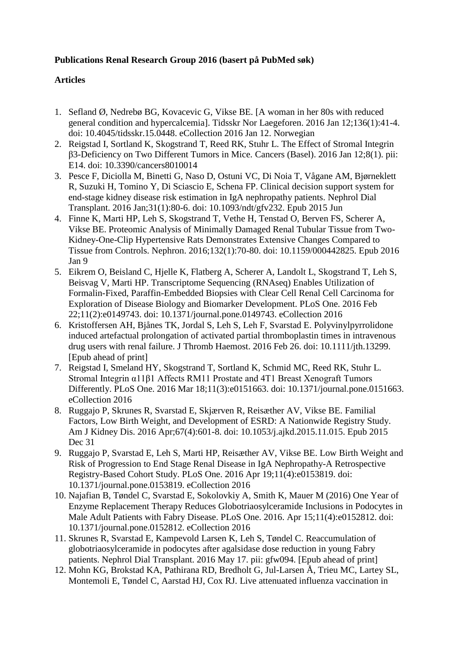## **Publications Renal Research Group 2016 (basert på PubMed søk)**

## **Articles**

- 1. Sefland Ø, Nedrebø BG, Kovacevic G, Vikse BE. [\[A woman in her 80s with reduced](http://www.ncbi.nlm.nih.gov/pubmed/26757660)  [general condition and hypercalcemia\].](http://www.ncbi.nlm.nih.gov/pubmed/26757660) Tidsskr Nor Laegeforen. 2016 Jan 12;136(1):41-4. doi: 10.4045/tidsskr.15.0448. eCollection 2016 Jan 12. Norwegian
- 2. Reigstad I, Sortland K, Skogstrand T, Reed RK, Stuhr L. [The Effect of Stromal Integrin](http://www.ncbi.nlm.nih.gov/pubmed/26771643)  [β3-Deficiency on Two Different Tumors in Mice.](http://www.ncbi.nlm.nih.gov/pubmed/26771643) Cancers (Basel). 2016 Jan 12;8(1). pii: E14. doi: 10.3390/cancers8010014
- 3. Pesce F, Diciolla M, Binetti G, Naso D, Ostuni VC, Di Noia T, Vågane AM, Bjørneklett R, Suzuki H, Tomino Y, Di Sciascio E, Schena FP. [Clinical decision support system for](http://www.ncbi.nlm.nih.gov/pubmed/26047632)  [end-stage kidney disease risk estimation in IgA nephropathy patients.](http://www.ncbi.nlm.nih.gov/pubmed/26047632) Nephrol Dial Transplant. 2016 Jan;31(1):80-6. doi: 10.1093/ndt/gfv232. Epub 2015 Jun
- 4. Finne K, Marti HP, Leh S, Skogstrand T, Vethe H, Tenstad O, Berven FS, Scherer A, Vikse BE. [Proteomic Analysis of Minimally Damaged Renal Tubular Tissue from Two-](http://www.ncbi.nlm.nih.gov/pubmed/26745798)[Kidney-One-Clip Hypertensive Rats Demonstrates Extensive Changes Compared to](http://www.ncbi.nlm.nih.gov/pubmed/26745798)  [Tissue from Controls.](http://www.ncbi.nlm.nih.gov/pubmed/26745798) Nephron. 2016;132(1):70-80. doi: 10.1159/000442825. Epub 2016 Jan 9
- 5. Eikrem O, Beisland C, Hjelle K, Flatberg A, Scherer A, Landolt L, Skogstrand T, Leh S, Beisvag V, Marti HP. [Transcriptome Sequencing \(RNAseq\) Enables Utilization of](http://www.ncbi.nlm.nih.gov/pubmed/26901863)  [Formalin-Fixed, Paraffin-Embedded Biopsies with Clear Cell Renal Cell Carcinoma for](http://www.ncbi.nlm.nih.gov/pubmed/26901863)  [Exploration of Disease Biology and Biomarker Development.](http://www.ncbi.nlm.nih.gov/pubmed/26901863) PLoS One. 2016 Feb 22;11(2):e0149743. doi: 10.1371/journal.pone.0149743. eCollection 2016
- 6. Kristoffersen AH, Bjånes TK, Jordal S, Leh S, Leh F, Svarstad E. [Polyvinylpyrrolidone](http://www.ncbi.nlm.nih.gov/pubmed/26921123)  induced [artefactual prolongation of activated partial thromboplastin times in intravenous](http://www.ncbi.nlm.nih.gov/pubmed/26921123)  [drug users with renal failure.](http://www.ncbi.nlm.nih.gov/pubmed/26921123) J Thromb Haemost. 2016 Feb 26. doi: 10.1111/jth.13299. [Epub ahead of print]
- 7. Reigstad I, Smeland HY, Skogstrand T, Sortland K, Schmid MC, Reed RK, Stuhr L. [Stromal Integrin α11β1 Affects RM11 Prostate and 4T1 Breast Xenograft Tumors](http://www.ncbi.nlm.nih.gov/pubmed/26990302)  [Differently.](http://www.ncbi.nlm.nih.gov/pubmed/26990302) PLoS One. 2016 Mar 18;11(3):e0151663. doi: 10.1371/journal.pone.0151663. eCollection 2016
- 8. Ruggajo P, Skrunes R, Svarstad E, Skjærven R, Reisæther AV, Vikse BE. [Familial](http://www.ncbi.nlm.nih.gov/pubmed/26747633)  [Factors, Low Birth Weight, and Development of ESRD: A](http://www.ncbi.nlm.nih.gov/pubmed/26747633) Nationwide Registry Study. Am J Kidney Dis. 2016 Apr;67(4):601-8. doi: 10.1053/j.ajkd.2015.11.015. Epub 2015 Dec 31
- 9. Ruggajo P, Svarstad E, Leh S, Marti HP, Reisæther AV, Vikse BE. [Low Birth Weight and](http://www.ncbi.nlm.nih.gov/pubmed/27092556)  [Risk of Progression to End Stage Renal Disease in IgA Nephropathy-A Retrospective](http://www.ncbi.nlm.nih.gov/pubmed/27092556)  [Registry-Based Cohort Study.](http://www.ncbi.nlm.nih.gov/pubmed/27092556) PLoS One. 2016 Apr 19;11(4):e0153819. doi: 10.1371/journal.pone.0153819. eCollection 2016
- 10. Najafian B, Tøndel C, Svarstad E, Sokolovkiy A, Smith K, Mauer M (2016) One Year of Enzyme Replacement Therapy Reduces Globotriaosylceramide Inclusions in Podocytes in Male Adult Patients with Fabry Disease. PLoS One. 2016. Apr 15;11(4):e0152812. doi: 10.1371/journal.pone.0152812. eCollection 2016
- 11. Skrunes R, Svarstad E, Kampevold Larsen K, Leh S, Tøndel C. [Reaccumulation of](http://www.ncbi.nlm.nih.gov/pubmed/27190352)  [globotriaosylceramide in podocytes after agalsidase dose reduction in young Fabry](http://www.ncbi.nlm.nih.gov/pubmed/27190352) [patients.](http://www.ncbi.nlm.nih.gov/pubmed/27190352) Nephrol Dial Transplant. 2016 May 17. pii: gfw094. [Epub ahead of print]
- 12. Mohn KG, Brokstad KA, Pathirana RD, Bredholt G, Jul-Larsen Å, Trieu MC, Lartey SL, Montemoli E, Tøndel C, Aarstad HJ, Cox RJ. [Live attenuated influenza vaccination in](http://www.ncbi.nlm.nih.gov/pubmed/27247344)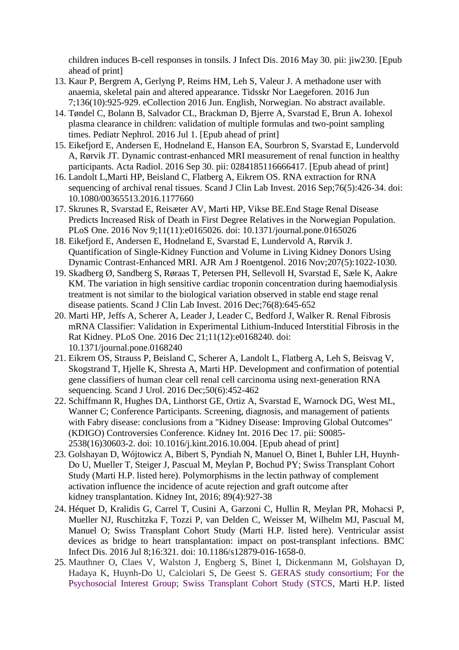[children induces B-cell responses in tonsils.](http://www.ncbi.nlm.nih.gov/pubmed/27247344) J Infect Dis. 2016 May 30. pii: jiw230. [Epub ahead of print]

- 13. Kaur P, Bergrem A, Gerlyng P, Reims HM, Leh S, Valeur J. [A methadone user with](http://www.ncbi.nlm.nih.gov/pubmed/27272371)  [anaemia, skeletal pain and altered appearance.](http://www.ncbi.nlm.nih.gov/pubmed/27272371) Tidsskr Nor Laegeforen. 2016 Jun 7;136(10):925-929. eCollection 2016 Jun. English, Norwegian. No abstract available.
- 14. Tøndel C, Bolann B, Salvador CL, Brackman D, Bjerre A, Svarstad E, Brun A. [Iohexol](http://www.ncbi.nlm.nih.gov/pubmed/27369694)  [plasma clearance in children: validation of multiple formulas and two-point sampling](http://www.ncbi.nlm.nih.gov/pubmed/27369694)  [times.](http://www.ncbi.nlm.nih.gov/pubmed/27369694) Pediatr Nephrol. 2016 Jul 1. [Epub ahead of print]
- 15. Eikefjord E, Andersen E, Hodneland E, Hanson EA, Sourbron S, Svarstad E, Lundervold A, Rørvik JT. [Dynamic contrast-enhanced MRI measurement of renal function in healthy](https://www.ncbi.nlm.nih.gov/pubmed/27694276)  [participants.](https://www.ncbi.nlm.nih.gov/pubmed/27694276) Acta Radiol. 2016 Sep 30. pii: 0284185116666417. [Epub ahead of print]
- 16. Landolt L,Marti HP, Beisland C, Flatberg A, Eikrem OS. [RNA extraction for RNA](https://www.ncbi.nlm.nih.gov/pubmed/27173776)  [sequencing of archival renal tissues.](https://www.ncbi.nlm.nih.gov/pubmed/27173776) Scand J Clin Lab Invest. 2016 Sep;76(5):426-34. doi: 10.1080/00365513.2016.1177660
- 17. Skrunes R, Svarstad E, Reisæter AV, Marti HP, Vikse BE[.End Stage Renal Disease](https://www.ncbi.nlm.nih.gov/pubmed/27828975)  [Predicts Increased Risk of Death in First Degree Relatives in the Norwegian Population.](https://www.ncbi.nlm.nih.gov/pubmed/27828975) PLoS One. 2016 Nov 9;11(11):e0165026. doi: 10.1371/journal.pone.0165026
- 18. Eikefjord E, Andersen E, Hodneland E, Svarstad E, Lundervold A, Rørvik J. Quantification of Single-Kidney Function and Volume in Living Kidney Donors Using Dynamic Contrast-Enhanced MRI. AJR Am J Roentgenol. 2016 Nov;207(5):1022-1030.
- 19. Skadberg Ø, Sandberg S, Røraas T, Petersen PH, Sellevoll H, Svarstad E, Sæle K, Aakre KM. [The variation in high sensitive cardiac troponin concentration during haemodialysis](https://www.ncbi.nlm.nih.gov/pubmed/27705007) [treatment is not similar to the biological variation observed in stable end stage renal](https://www.ncbi.nlm.nih.gov/pubmed/27705007)  [disease patients.](https://www.ncbi.nlm.nih.gov/pubmed/27705007) Scand J Clin Lab Invest. 2016 Dec;76(8):645-652
- 20. Marti HP, Jeffs A, Scherer A, Leader J, Leader C, Bedford J, Walker R. [Renal Fibrosis](https://www.ncbi.nlm.nih.gov/pubmed/28002484)  [mRNA Classifier: Validation in Experimental Lithium-Induced Interstitial Fibrosis in the](https://www.ncbi.nlm.nih.gov/pubmed/28002484)  [Rat Kidney.](https://www.ncbi.nlm.nih.gov/pubmed/28002484) PLoS One. 2016 Dec 21;11(12):e0168240. doi: 10.1371/journal.pone.0168240
- 21. Eikrem OS, Strauss P, Beisland C, Scherer A, Landolt L, Flatberg A, Leh S, Beisvag V, Skogstrand T, Hjelle K, Shresta A, Marti HP. [Development and confirmation of potential](https://www.ncbi.nlm.nih.gov/pubmed/27739342)  [gene classifiers of human clear cell renal cell carcinoma using next-generation RNA](https://www.ncbi.nlm.nih.gov/pubmed/27739342)  [sequencing.](https://www.ncbi.nlm.nih.gov/pubmed/27739342) Scand J Urol. 2016 Dec;50(6):452-462
- 22. Schiffmann R, Hughes DA, Linthorst GE, Ortiz A, Svarstad E, Warnock DG, West ML, Wanner C; Conference Participants. [Screening, diagnosis, and management of patients](https://www.ncbi.nlm.nih.gov/pubmed/27998644)  with Fabry disease: conclusions from a "Kidney Disease: Improving Global Outcomes" [\(KDIGO\) Controversies Conference.](https://www.ncbi.nlm.nih.gov/pubmed/27998644) Kidney Int. 2016 Dec 17. pii: S0085- 2538(16)30603-2. doi: 10.1016/j.kint.2016.10.004. [Epub ahead of print]
- 23. Golshayan D, Wójtowicz A, Bibert S, Pyndiah N, Manuel O, Binet I, Buhler LH, Huynh-Do U, Mueller T, Steiger J, Pascual M, Meylan P, Bochud PY; Swiss Transplant Cohort Study (Marti H.P. listed here). Polymorphisms in the lectin pathway of complement activation influence the incidence of acute rejection and graft outcome after kidney transplantation. Kidney Int, 2016; 89(4):927-38
- 24. Héquet D, Kralidis G, Carrel T, Cusini A, Garzoni C, Hullin R, Meylan PR, Mohacsi P, Mueller NJ, Ruschitzka F, Tozzi P, van Delden C, Weisser M, Wilhelm MJ, Pascual M, Manuel O; Swiss Transplant Cohort Study (Marti H.P. listed here). [Ventricular assist](http://www.ncbi.nlm.nih.gov/pubmed/27391967)  [devices as bridge to heart transplantation:](http://www.ncbi.nlm.nih.gov/pubmed/27391967) impact on post-transplant infections. BMC Infect Dis. 2016 Jul 8;16:321. doi: 10.1186/s12879-016-1658-0.
- 25. [Mauthner O,](https://www.ncbi.nlm.nih.gov/pubmed/?term=Mauthner%20O%5BAuthor%5D&cauthor=true&cauthor_uid=27731953) [Claes V,](https://www.ncbi.nlm.nih.gov/pubmed/?term=Claes%20V%5BAuthor%5D&cauthor=true&cauthor_uid=27731953) [Walston J,](https://www.ncbi.nlm.nih.gov/pubmed/?term=Walston%20J%5BAuthor%5D&cauthor=true&cauthor_uid=27731953) [Engberg S,](https://www.ncbi.nlm.nih.gov/pubmed/?term=Engberg%20S%5BAuthor%5D&cauthor=true&cauthor_uid=27731953) [Binet I,](https://www.ncbi.nlm.nih.gov/pubmed/?term=Binet%20I%5BAuthor%5D&cauthor=true&cauthor_uid=27731953) [Dickenmann M,](https://www.ncbi.nlm.nih.gov/pubmed/?term=Dickenmann%20M%5BAuthor%5D&cauthor=true&cauthor_uid=27731953) [Golshayan D,](https://www.ncbi.nlm.nih.gov/pubmed/?term=Golshayan%20D%5BAuthor%5D&cauthor=true&cauthor_uid=27731953) [Hadaya K,](https://www.ncbi.nlm.nih.gov/pubmed/?term=Hadaya%20K%5BAuthor%5D&cauthor=true&cauthor_uid=27731953) [Huynh-Do U,](https://www.ncbi.nlm.nih.gov/pubmed/?term=Huynh-Do%20U%5BAuthor%5D&cauthor=true&cauthor_uid=27731953) [Calciolari S,](https://www.ncbi.nlm.nih.gov/pubmed/?term=Calciolari%20S%5BAuthor%5D&cauthor=true&cauthor_uid=27731953) [De Geest S.](https://www.ncbi.nlm.nih.gov/pubmed/?term=De%20Geest%20S%5BAuthor%5D&cauthor=true&cauthor_uid=27731953) [GERAS study consortium; For the](https://www.ncbi.nlm.nih.gov/pubmed/?term=GERAS%20study%20consortium%3B%20For%20the%20Psychosocial%20Interest%20Group%3B%20Swiss%20Transplant%20Cohort%20Study%20(STCS)%5BCorporate%20Author%5D)  [Psychosocial Interest Group; Swiss Transplant Cohort Study \(STCS, Marti H.P. listed](https://www.ncbi.nlm.nih.gov/pubmed/?term=GERAS%20study%20consortium%3B%20For%20the%20Psychosocial%20Interest%20Group%3B%20Swiss%20Transplant%20Cohort%20Study%20(STCS)%5BCorporate%20Author%5D)